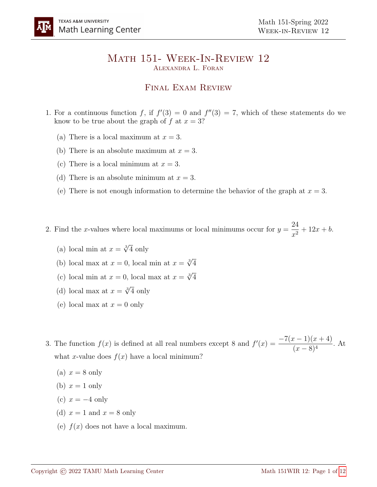## Math 151- Week-In-Review 12 Alexandra L. Foran

## Final Exam Review

- 1. For a continuous function f, if  $f'(3) = 0$  and  $f''(3) = 7$ , which of these statements do we know to be true about the graph of f at  $x = 3$ ?
	- (a) There is a local maximum at  $x = 3$ .
	- (b) There is an absolute maximum at  $x = 3$ .
	- (c) There is a local minimum at  $x = 3$ .
	- (d) There is an absolute minimum at  $x = 3$ .
	- (e) There is not enough information to determine the behavior of the graph at  $x = 3$ .

2. Find the x-values where local maximums or local minimums occur for  $y =$ 24  $\frac{2}{x^2} + 12x + b.$ 

- (a) local min at  $x = \sqrt[3]{4}$  only
- (b) local max at  $x = 0$ , local min at  $x = \sqrt[3]{4}$
- (c) local min at  $x = 0$ , local max at  $x = \sqrt[3]{4}$
- (d) local max at  $x = \sqrt[3]{4}$  only
- (e) local max at  $x = 0$  only

3. The function  $f(x)$  is defined at all real numbers except 8 and  $f'(x) = \frac{-7(x-1)(x+4)}{x^2}$  $\frac{(x-8)^4}{(x-8)^4}$ . At what x-value does  $f(x)$  have a local minimum?

- (a)  $x = 8$  only
- (b)  $x = 1$  only
- (c)  $x = -4$  only
- (d)  $x = 1$  and  $x = 8$  only
- (e)  $f(x)$  does not have a local maximum.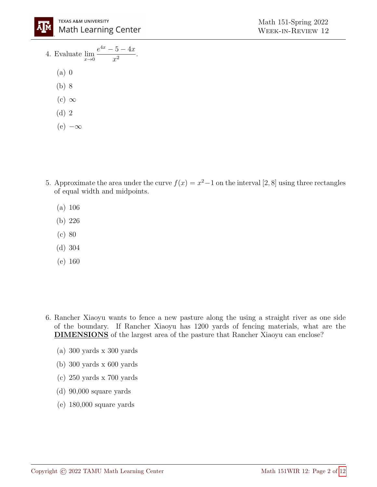

- 4. Evaluate  $\lim_{x\to 0}$  $e^{4x} - 5 - 4x$  $\frac{6}{x^2}$ .
	- (a) 0
	- (b) 8
	- $(c) \infty$
	- (d) 2
	- $(e)$  – $\infty$
- 5. Approximate the area under the curve  $f(x) = x^2 1$  on the interval [2, 8] using three rectangles of equal width and midpoints.
	- (a) 106
	- (b) 226
	- (c) 80
	- (d) 304
	- (e) 160
- 6. Rancher Xiaoyu wants to fence a new pasture along the using a straight river as one side of the boundary. If Rancher Xiaoyu has 1200 yards of fencing materials, what are the DIMENSIONS of the largest area of the pasture that Rancher Xiaoyu can enclose?
	- (a) 300 yards x 300 yards
	- (b) 300 yards x 600 yards
	- (c) 250 yards x 700 yards
	- (d) 90,000 square yards
	- (e) 180,000 square yards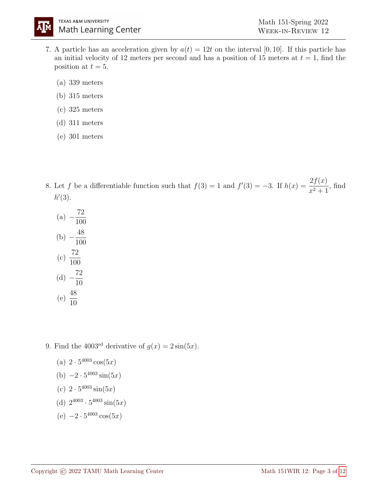- 7. A particle has an acceleration given by  $a(t) = 12t$  on the interval [0, 10]. If this particle has an initial velocity of 12 meters per second and has a position of 15 meters at  $t = 1$ , find the position at  $t = 5$ .
	- (a) 339 meters
	- (b) 315 meters
	- (c) 325 meters
	- (d) 311 meters
	- (e) 301 meters

8. Let f be a differentiable function such that  $f(3) = 1$  and  $f'(3) = -3$ . If  $h(x) = \frac{2f(x)}{x-1}$  $\frac{2J(x)}{x^2+1}$ , find  $h'(3)$ .

(a) 
$$
-\frac{72}{100}
$$
  
\n(b)  $-\frac{48}{100}$   
\n(c)  $\frac{72}{100}$   
\n(d)  $-\frac{72}{10}$   
\n(e)  $\frac{48}{10}$ 

9. Find the 4003<sup>rd</sup> derivative of  $g(x) = 2\sin(5x)$ .

- (a)  $2 \cdot 5^{4003} \cos(5x)$
- (b)  $-2 \cdot 5^{4003} \sin(5x)$
- (c)  $2 \cdot 5^{4003} \sin(5x)$
- (d)  $2^{4003} \cdot 5^{4003} \sin(5x)$
- $(e) -2 \cdot 5^{4003} \cos(5x)$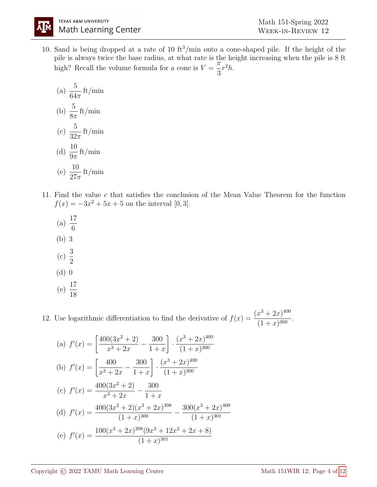10. Sand is being dropped at a rate of 10  $\text{ft}^3/\text{min}$  onto a cone-shaped pile. If the height of the pile is always twice the base radius, at what rate is the height increasing when the pile is 8 ft high? Recall the volume formula for a cone is  $V =$  $\frac{1}{\pi}$ 3  $r^2h$ .

(a) 
$$
\frac{5}{64\pi}
$$
 ft/min  
\n(b)  $\frac{5}{8\pi}$  ft/min  
\n(c)  $\frac{5}{32\pi}$  ft/min  
\n(d)  $\frac{10}{9\pi}$  ft/min  
\n(e)  $\frac{10}{27\pi}$  ft/min

A||M

- 11. Find the value c that satisfies the conclusion of the Mean Value Theorem for the function  $f(x) = -3x^2 + 5x + 5$  on the interval [0, 3].
	- (a)  $\frac{17}{6}$ 6 (b) 3 (c)  $\frac{3}{2}$ 2 (d) 0 (e)  $\frac{17}{18}$ 18

12. Use logarithmic differentiation to find the derivative of  $f(x) = \frac{(x^3 + 2x)^{400}}{(1 + x)^{300}}$  $\frac{x+2x}{(1+x)^{300}}.$ 

(a) 
$$
f'(x) = \left[\frac{400(3x^2 + 2)}{x^3 + 2x} - \frac{300}{1 + x}\right] \cdot \frac{(x^3 + 2x)^{400}}{(1 + x)^{300}}
$$
  
\n(b)  $f'(x) = \left[\frac{400}{x^3 + 2x} - \frac{300}{1 + x}\right] \cdot \frac{(x^3 + 2x)^{400}}{(1 + x)^{300}}$   
\n(c)  $f'(x) = \frac{400(3x^2 + 2)}{x^3 + 2x} - \frac{300}{1 + x}$   
\n(d)  $f'(x) = \frac{400(3x^2 + 2)(x^3 + 2x)^{398}}{(1 + x)^{300}} - \frac{300(x^3 + 2x)^{400}}{(1 + x)^{301}}$   
\n(e)  $f'(x) = \frac{100(x^3 + 2x)^{398}(9x^3 + 12x^2 + 2x + 8)}{(1 + x)^{301}}$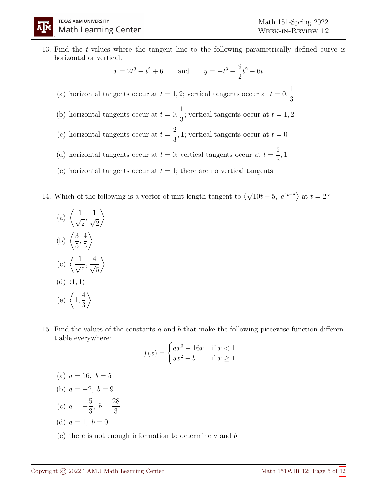13. Find the t-values where the tangent line to the following parametrically defined curve is horizontal or vertical.

$$
x = 2t^3 - t^2 + 6
$$
 and  $y = -t^3 + \frac{9}{2}t^2 - 6t$ 

- (a) horizontal tangents occur at  $t = 1, 2$ ; vertical tangents occur at  $t = 0$ , 1 3
- (b) horizontal tangents occur at  $t = 0$ , 1 3 ; vertical tangents occur at  $t = 1, 2$
- (c) horizontal tangents occur at  $t =$ 2 3 , 1; vertical tangents occur at  $t = 0$
- (d) horizontal tangents occur at  $t = 0$ ; vertical tangents occur at  $t =$ 2 3 , 1
- (e) horizontal tangents occur at  $t = 1$ ; there are no vertical tangents
- 14. Which of the following is a vector of unit length tangent to  $\langle$ √  $\overline{10t+5}$ ,  $e^{4t-8}$  at  $t=2$ ?
	- (a)  $\left\langle \frac{1}{\cdot} \right\rangle$ 2 ,  $\frac{1}{\sqrt{2}}$ 2  $\setminus$ (b)  $\left(\frac{3}{5}\right)$ 5 , 4 5  $\setminus$ (c)  $\left\langle -\frac{1}{\sqrt{2}}\right\rangle$ 5 ,  $\frac{4}{7}$ 5  $\setminus$  $(d)$   $\langle 1, 1 \rangle$  $(e) \n\begin{cases} 1, \end{cases}$ 4 3  $\setminus$
- 15. Find the values of the constants a and b that make the following piecewise function differentiable everywhere:

$$
f(x) = \begin{cases} ax^3 + 16x & \text{if } x < 1\\ 5x^2 + b & \text{if } x \ge 1 \end{cases}
$$

- (a)  $a = 16, b = 5$
- (b)  $a = -2, b = 9$
- (c)  $a = -\frac{5}{3}$ 3  $, b =$ 28 3
- (d)  $a = 1, b = 0$
- (e) there is not enough information to determine  $a$  and  $b$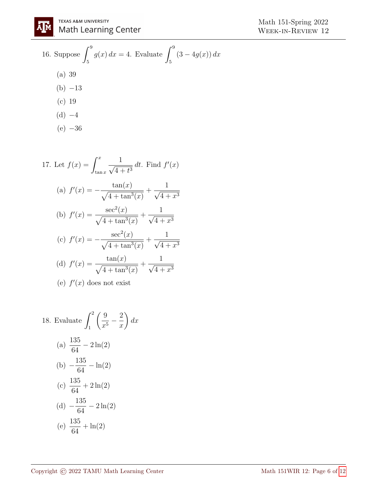16. Suppose 
$$
\int_5^9 g(x) dx = 4
$$
. Evaluate  $\int_5^9 (3 - 4g(x)) dx$   
\n(a) 39  
\n(b) -13  
\n(c) 19  
\n(d) -4  
\n(e) -36

17. Let  $f(x) = \int^x$  $\tan x$  $\frac{1}{\sqrt{1-\frac{1}{2}}}\$  $\frac{1}{4+t^3} dt$ . Find  $f'(x)$ (a)  $f'(x) = -\frac{\tan(x)}{x}$  $\sqrt{4 + \tan^3(x)}$  $^{+}$  $\frac{1}{\sqrt{1-\frac{1}{1-\frac{1}{1-\frac{1}{1-\frac{1}{1-\frac{1}{1-\frac{1}{1-\frac{1}{1-\frac{1}{1-\frac{1}{1-\frac{1}{1-\frac{1}{1-\frac{1}{1-\frac{1}{1-\frac{1}{1-\frac{1}{1-\frac{1}{1-\frac{1}{1-\frac{1}{1-\frac{1}{1-\frac{1}{1-\frac{1}{1-\frac{1}{1-\frac{1}{1-\frac{1}{1-\frac{1}{1-\frac{1}{1-\frac{1}{1-\frac{1}{1-\frac{1}{1-\frac{1}{1-\frac{1}{1-\frac{1}{1-\frac{1}{1-\frac{1}{1-\frac{1}{1-\$  $4 + x^3$ (b)  $f'(x) = \frac{\sec^2(x)}{x^2}$  $\sqrt{4 + \tan^3(x)}$  $+$  $\frac{1}{\sqrt{1}}$  $\frac{1}{4} + x^3$ (c)  $f'(x) = \sec^2(x)$  $\sqrt{4 + \tan^3(x)}$  $+$  $\frac{1}{\sqrt{1-\frac{1}{2}}}\$  $4 + x^3$ (d)  $f'(x) = \frac{\tan(x)}{x}$  $\sqrt{4 + \tan^3(x)}$  $+$  $\frac{1}{\sqrt{1-\frac{1}{1-\frac{1}{1-\frac{1}{1-\frac{1}{1-\frac{1}{1-\frac{1}{1-\frac{1}{1-\frac{1}{1-\frac{1}{1-\frac{1}{1-\frac{1}{1-\frac{1}{1-\frac{1}{1-\frac{1}{1-\frac{1}{1-\frac{1}{1-\frac{1}{1-\frac{1}{1-\frac{1}{1-\frac{1}{1-\frac{1}{1-\frac{1}{1-\frac{1}{1-\frac{1}{1-\frac{1}{1-\frac{1}{1-\frac{1}{1-\frac{1}{1-\frac{1}{1-\frac{1}{1-\frac{1}{1-\frac{1}{1-\frac{1}{1-\frac{1}{1-\frac{1}{1-\$  $4 + x^3$ (e)  $f'(x)$  does not exist

18. Evaluate 
$$
\int_{1}^{2} \left(\frac{9}{x^{5}} - \frac{2}{x}\right) dx
$$
\n(a) 
$$
\frac{135}{64} - 2\ln(2)
$$
\n(b) 
$$
-\frac{135}{64} - \ln(2)
$$
\n(c) 
$$
\frac{135}{64} + 2\ln(2)
$$
\n(d) 
$$
-\frac{135}{64} - 2\ln(2)
$$
\n(e) 
$$
\frac{135}{64} + \ln(2)
$$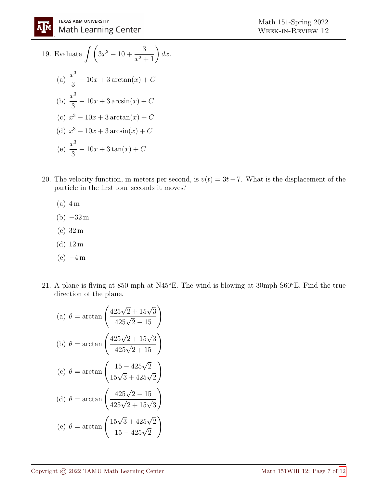19. Evaluate 
$$
\int \left(3x^2 - 10 + \frac{3}{x^2 + 1}\right) dx
$$
.  
\n(a)  $\frac{x^3}{3} - 10x + 3 \arctan(x) + C$   
\n(b)  $\frac{x^3}{3} - 10x + 3 \arcsin(x) + C$   
\n(c)  $x^3 - 10x + 3 \arctan(x) + C$   
\n(d)  $x^3 - 10x + 3 \arcsin(x) + C$   
\n(e)  $\frac{x^3}{3} - 10x + 3 \tan(x) + C$ 

- 20. The velocity function, in meters per second, is  $v(t) = 3t 7$ . What is the displacement of the particle in the first four seconds it moves?
	- (a) 4 m
	- $(b) -32m$
	- (c) 32 m
	- (d) 12 m
	- $(e) -4m$
- 21. A plane is flying at 850 mph at N45◦E. The wind is blowing at 30mph S60◦E. Find the true direction of the plane.

(a) 
$$
\theta = \arctan\left(\frac{425\sqrt{2} + 15\sqrt{3}}{425\sqrt{2} - 15}\right)
$$
  
\n(b)  $\theta = \arctan\left(\frac{425\sqrt{2} + 15\sqrt{3}}{425\sqrt{2} + 15}\right)$   
\n(c)  $\theta = \arctan\left(\frac{15 - 425\sqrt{2}}{15\sqrt{3} + 425\sqrt{2}}\right)$   
\n(d)  $\theta = \arctan\left(\frac{425\sqrt{2} - 15}{425\sqrt{2} + 15\sqrt{3}}\right)$   
\n(e)  $\theta = \arctan\left(\frac{15\sqrt{3} + 425\sqrt{2}}{15 - 425\sqrt{2}}\right)$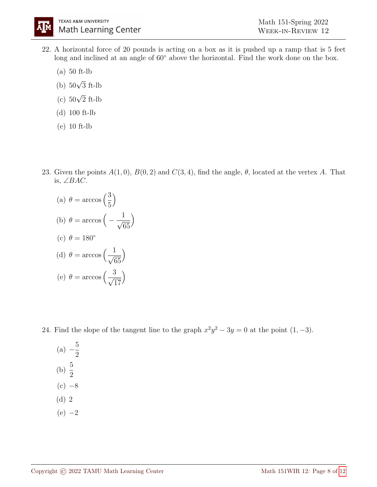- 22. A horizontal force of 20 pounds is acting on a box as it is pushed up a ramp that is 5 feet long and inclined at an angle of 60◦ above the horizontal. Find the work done on the box.
	- (a) 50 ft-lb
	- (b)  $50\sqrt{3}$  ft-lb
	- (c) <sup>50</sup><sup>√</sup> 2 ft-lb
	- (d) 100 ft-lb
	- (e) 10 ft-lb
- 23. Given the points  $A(1,0), B(0,2)$  and  $C(3,4),$  find the angle,  $\theta$ , located at the vertex A. That is, ∠BAC.

(a) 
$$
\theta = \arccos\left(\frac{3}{5}\right)
$$
  
\n(b)  $\theta = \arccos\left(-\frac{1}{\sqrt{65}}\right)$   
\n(c)  $\theta = 180^\circ$   
\n(d)  $\theta = \arccos\left(\frac{1}{\sqrt{65}}\right)$   
\n(e)  $\theta = \arccos\left(\frac{3}{\sqrt{17}}\right)$ 

 $\setminus$ 

24. Find the slope of the tangent line to the graph  $x^2y^2 - 3y = 0$  at the point  $(1, -3)$ .

(a) 
$$
-\frac{5}{2}
$$
  
\n(b)  $\frac{5}{2}$   
\n(c) -8  
\n(d) 2  
\n(e) -2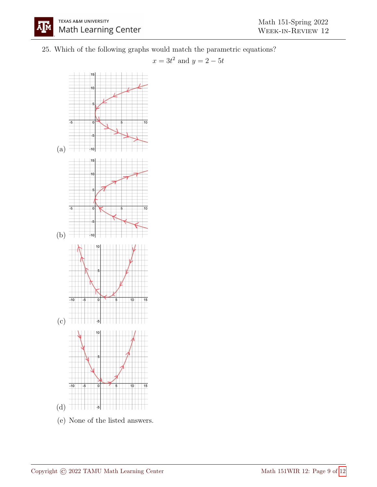25. Which of the following graphs would match the parametric equations?

 $x = 3t^2$  and  $y = 2 - 5t$ 

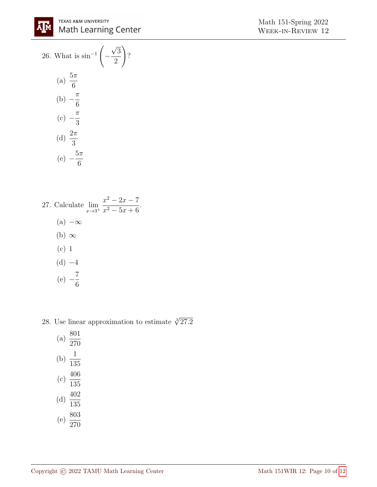26. What is 
$$
\sin^{-1}\left(-\frac{\sqrt{3}}{2}\right)
$$
?  
\n(a)  $\frac{5\pi}{6}$   
\n(b)  $-\frac{\pi}{6}$   
\n(c)  $-\frac{\pi}{3}$   
\n(d)  $\frac{2\pi}{3}$   
\n(e)  $-\frac{5\pi}{6}$ 

27. Calculate 
$$
\lim_{x \to 3^+} \frac{x^2 - 2x - 7}{x^2 - 5x + 6}.
$$
\n(a)  $-\infty$   
\n(b)  $\infty$   
\n(c) 1  
\n(d)  $-4$   
\n(e)  $-\frac{7}{6}$ 

6

28. Use linear approximation to estimate  $\sqrt[3]{27.2}$ 

| (a) | 801<br>270 |
|-----|------------|
| (b) | 1<br>135   |
| (c) | 406<br>135 |
| (d) | 402<br>135 |
| (e) | 803<br>270 |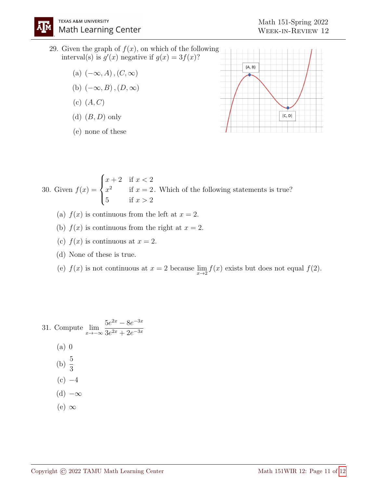ŊМ

- 29. Given the graph of  $f(x)$ , on which of the following interval(s) is  $g'(x)$  negative if  $g(x) = 3f(x)$ ?
	- (a)  $(-\infty, A)$ ,  $(C, \infty)$
	- (b)  $(-\infty, B)$ ,  $(D, \infty)$
	- $(c)$   $(A, C)$
	- (d)  $(B, D)$  only
	- (e) none of these



30. Given  $f(x) =$  $\sqrt{ }$  $\int$  $\overline{\mathcal{L}}$  $x+2$  if  $x < 2$  $x^2$  if  $x=2$ 5 if  $x > 2$ . Which of the following statements is true?

- (a)  $f(x)$  is continuous from the left at  $x = 2$ .
- (b)  $f(x)$  is continuous from the right at  $x = 2$ .
- (c)  $f(x)$  is continuous at  $x = 2$ .
- (d) None of these is true.
- (e)  $f(x)$  is not continuous at  $x = 2$  because  $\lim_{x \to 2} f(x)$  exists but does not equal  $f(2)$ .

31. Compute 
$$
\lim_{x \to -\infty} \frac{5e^{2x} - 8e^{-3x}}{3e^{2x} + 2e^{-3x}}
$$
\n(a) 0\n(b)  $\frac{5}{3}$ \n(c) -4\n(d) -\infty\n(e) \infty